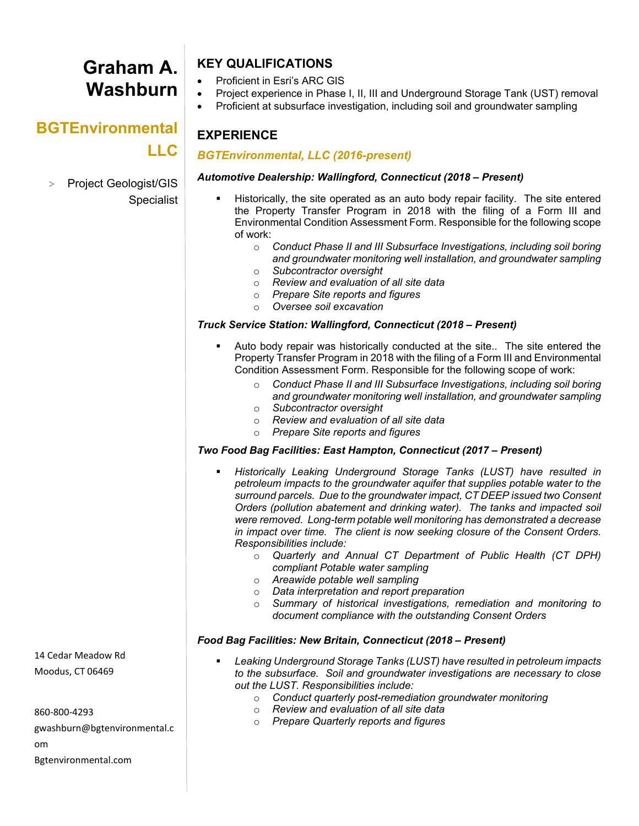# **Graham A. Washburn**

# **KEY QUALIFICATIONS**

- Proficient in Esri's ARC GIS
- Project experience in Phase I, II, III and Underground Storage Tank (UST) removal
- Proficient at subsurface investigation, including soil and groundwater sampling

# **BGTEnvironmental LLC**

# > Project Geologist/GIS Specialist

# **EXPERIENCE**

# *BGTEnvironmental, LLC (2016-present)*

## *Automotive Dealership: Wallingford, Connecticut (2018 – Present)*

- Historically, the site operated as an auto body repair facility. The site entered the Property Transfer Program in 2018 with the filing of a Form III and Environmental Condition Assessment Form. Responsible for the following scope of work:
	- o *Conduct Phase II and III Subsurface Investigations, including soil boring and groundwater monitoring well installation, and groundwater sampling* o *Subcontractor oversight*
	- o *Review and evaluation of all site data*
	- o *Prepare Site reports and figures*
	- o *Oversee soil excavation*

### *Truck Service Station: Wallingford, Connecticut (2018 – Present)*

- Auto body repair was historically conducted at the site.. The site entered the Property Transfer Program in 2018 with the filing of a Form III and Environmental Condition Assessment Form. Responsible for the following scope of work:
	- o *Conduct Phase II and III Subsurface Investigations, including soil boring and groundwater monitoring well installation, and groundwater sampling* o *Subcontractor oversight*
	- o *Review and evaluation of all site data*
	- o *Prepare Site reports and figures*

#### *Two Food Bag Facilities: East Hampton, Connecticut (2017 – Present)*

- *Historically Leaking Underground Storage Tanks (LUST) have resulted in petroleum impacts to the groundwater aquifer that supplies potable water to the surround parcels. Due to the groundwater impact, CT DEEP issued two Consent Orders (pollution abatement and drinking water). The tanks and impacted soil were removed. Long-term potable well monitoring has demonstrated a decrease in impact over time. The client is now seeking closure of the Consent Orders. Responsibilities include:*
	- o *Quarterly and Annual CT Department of Public Health (CT DPH) compliant Potable water sampling*
	- o *Areawide potable well sampling*
	- o *Data interpretation and report preparation*
	- o *Summary of historical investigations, remediation and monitoring to document compliance with the outstanding Consent Orders*

# *Food Bag Facilities: New Britain, Connecticut (2018 – Present)*

- *Leaking Underground Storage Tanks (LUST) have resulted in petroleum impacts to the subsurface. Soil and groundwater investigations are necessary to close out the LUST. Responsibilities include:*
	- o *Conduct quarterly post-remediation groundwater monitoring*
	- o *Review and evaluation of all site data*
	- o *Prepare Quarterly reports and figures*

14 Cedar Meadow Rd Moodus, CT 06469

860-800-4293

gwashburn@bgtenvironmental.c om Bgtenvironmental.com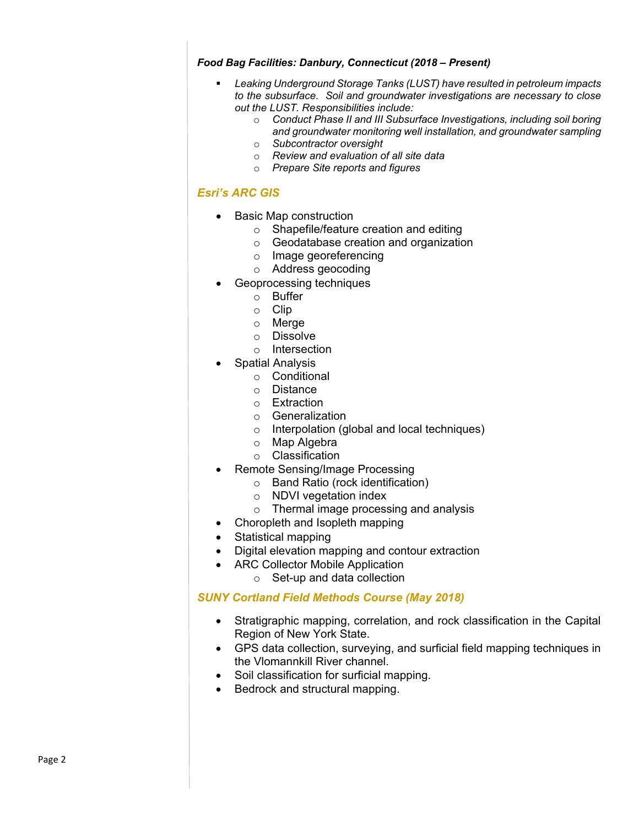#### *Food Bag Facilities: Danbury, Connecticut (2018 – Present)*

- *Leaking Underground Storage Tanks (LUST) have resulted in petroleum impacts to the subsurface. Soil and groundwater investigations are necessary to close out the LUST. Responsibilities include:*
	- o *Conduct Phase II and III Subsurface Investigations, including soil boring and groundwater monitoring well installation, and groundwater sampling*
	- o *Subcontractor oversight*
	- o *Review and evaluation of all site data*
	- o *Prepare Site reports and figures*

# *Esri's ARC GIS*

- Basic Map construction
	- o Shapefile/feature creation and editing
	- o Geodatabase creation and organization
	- o Image georeferencing
	- o Address geocoding
- Geoprocessing techniques
	- o Buffer
	- o Clip
	- o Merge
	- o Dissolve
	- o Intersection
- Spatial Analysis
	- o Conditional
	- o Distance
	- o Extraction
	- o Generalization
	- o Interpolation (global and local techniques)
	- o Map Algebra
	- o Classification
- Remote Sensing/Image Processing
	- o Band Ratio (rock identification)
	- o NDVI vegetation index
	- o Thermal image processing and analysis
- Choropleth and Isopleth mapping
- Statistical mapping
- Digital elevation mapping and contour extraction
- ARC Collector Mobile Application
	- o Set-up and data collection

# *SUNY Cortland Field Methods Course (May 2018)*

- Stratigraphic mapping, correlation, and rock classification in the Capital Region of New York State.
- GPS data collection, surveying, and surficial field mapping techniques in the Vlomannkill River channel.
- Soil classification for surficial mapping.
- Bedrock and structural mapping.